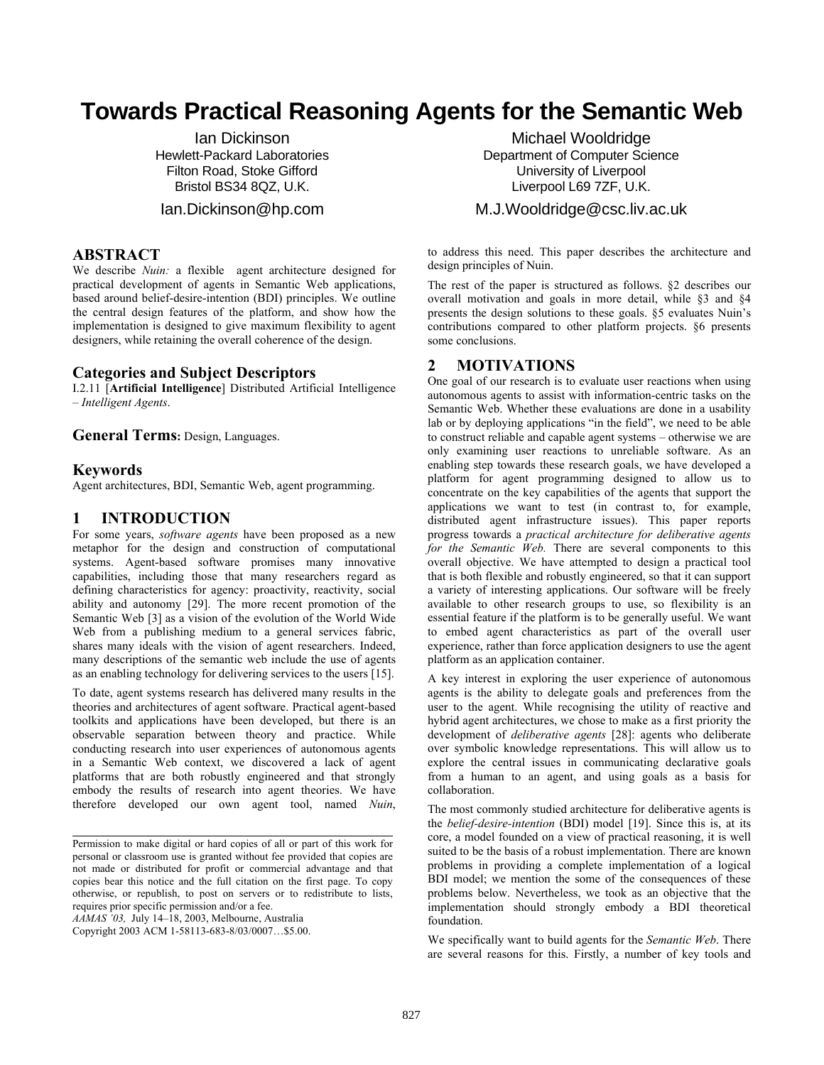# **Towards Practical Reasoning Agents for the Semantic Web**

Ian Dickinson Hewlett-Packard Laboratories Filton Road, Stoke Gifford Bristol BS34 8QZ, U.K.

Ian.Dickinson@hp.com

# **ABSTRACT**

We describe *Nuin:* a flexible agent architecture designed for practical development of agents in Semantic Web applications, based around belief-desire-intention (BDI) principles. We outline the central design features of the platform, and show how the implementation is designed to give maximum flexibility to agent designers, while retaining the overall coherence of the design.

### **Categories and Subject Descriptors**

I.2.11 [**Artificial Intelligence**] Distributed Artificial Intelligence – *Intelligent Agents*.

**General Terms:** Design, Languages.

#### **Keywords**

Agent architectures, BDI, Semantic Web, agent programming.

### **1 INTRODUCTION**

For some years, *software agents* have been proposed as a new metaphor for the design and construction of computational systems. Agent-based software promises many innovative capabilities, including those that many researchers regard as defining characteristics for agency: proactivity, reactivity, social ability and autonomy [29]. The more recent promotion of the Semantic Web [3] as a vision of the evolution of the World Wide Web from a publishing medium to a general services fabric, shares many ideals with the vision of agent researchers. Indeed, many descriptions of the semantic web include the use of agents as an enabling technology for delivering services to the users [15].

To date, agent systems research has delivered many results in the theories and architectures of agent software. Practical agent-based toolkits and applications have been developed, but there is an observable separation between theory and practice. While conducting research into user experiences of autonomous agents in a Semantic Web context, we discovered a lack of agent platforms that are both robustly engineered and that strongly embody the results of research into agent theories. We have therefore developed our own agent tool, named *Nuin*,

*AAMAS '03,* July 14–18, 2003, Melbourne, Australia

Copyright 2003 ACM 1-58113-683-8/03/0007…\$5.00.

Michael Wooldridge Department of Computer Science University of Liverpool Liverpool L69 7ZF, U.K.

### M.J.Wooldridge@csc.liv.ac.uk

to address this need. This paper describes the architecture and design principles of Nuin.

The rest of the paper is structured as follows. §2 describes our overall motivation and goals in more detail, while §3 and §4 presents the design solutions to these goals. §5 evaluates Nuin's contributions compared to other platform projects. §6 presents some conclusions.

### **2 MOTIVATIONS**

One goal of our research is to evaluate user reactions when using autonomous agents to assist with information-centric tasks on the Semantic Web. Whether these evaluations are done in a usability lab or by deploying applications "in the field", we need to be able to construct reliable and capable agent systems – otherwise we are only examining user reactions to unreliable software. As an enabling step towards these research goals, we have developed a platform for agent programming designed to allow us to concentrate on the key capabilities of the agents that support the applications we want to test (in contrast to, for example, distributed agent infrastructure issues). This paper reports progress towards a *practical architecture for deliberative agents for the Semantic Web.* There are several components to this overall objective. We have attempted to design a practical tool that is both flexible and robustly engineered, so that it can support a variety of interesting applications. Our software will be freely available to other research groups to use, so flexibility is an essential feature if the platform is to be generally useful. We want to embed agent characteristics as part of the overall user experience, rather than force application designers to use the agent platform as an application container.

A key interest in exploring the user experience of autonomous agents is the ability to delegate goals and preferences from the user to the agent. While recognising the utility of reactive and hybrid agent architectures, we chose to make as a first priority the development of *deliberative agents* [28]: agents who deliberate over symbolic knowledge representations. This will allow us to explore the central issues in communicating declarative goals from a human to an agent, and using goals as a basis for collaboration.

The most commonly studied architecture for deliberative agents is the *belief-desire-intention* (BDI) model [19]. Since this is, at its core, a model founded on a view of practical reasoning, it is well suited to be the basis of a robust implementation. There are known problems in providing a complete implementation of a logical BDI model; we mention the some of the consequences of these problems below. Nevertheless, we took as an objective that the implementation should strongly embody a BDI theoretical foundation.

We specifically want to build agents for the *Semantic Web*. There are several reasons for this. Firstly, a number of key tools and

Permission to make digital or hard copies of all or part of this work for personal or classroom use is granted without fee provided that copies are not made or distributed for profit or commercial advantage and that copies bear this notice and the full citation on the first page. To copy otherwise, or republish, to post on servers or to redistribute to lists, requires prior specific permission and/or a fee.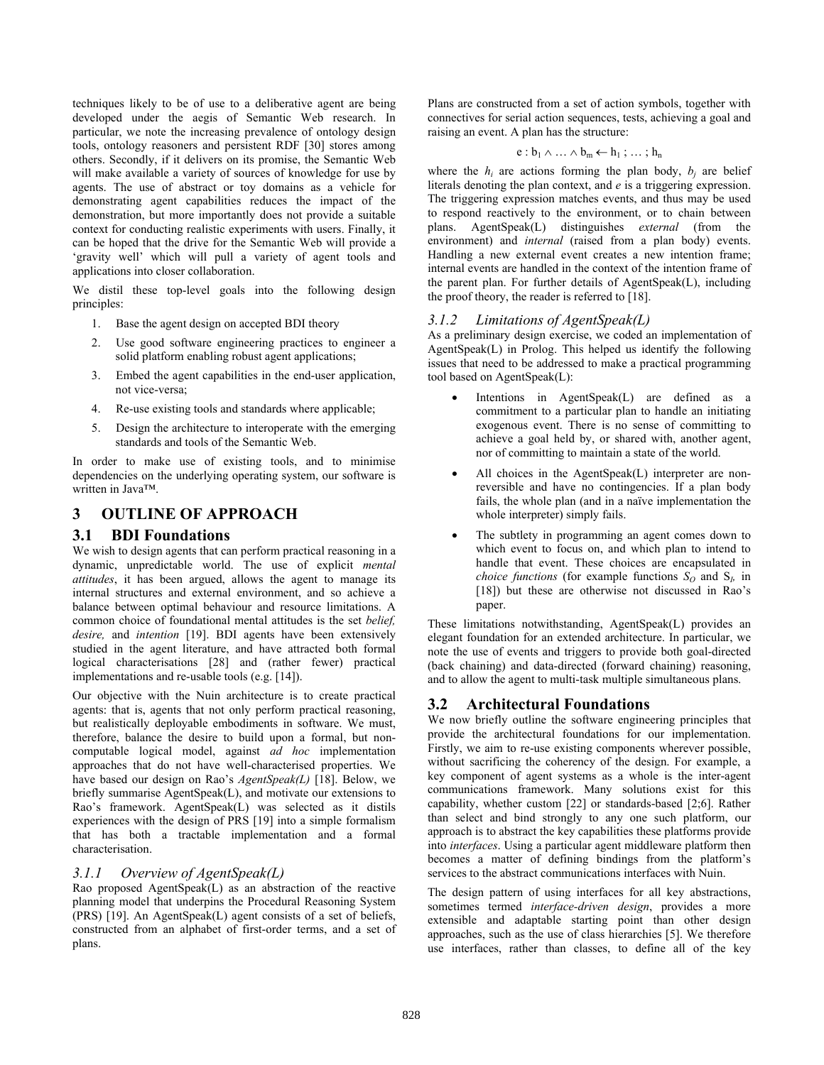techniques likely to be of use to a deliberative agent are being developed under the aegis of Semantic Web research. In particular, we note the increasing prevalence of ontology design tools, ontology reasoners and persistent RDF [30] stores among others. Secondly, if it delivers on its promise, the Semantic Web will make available a variety of sources of knowledge for use by agents. The use of abstract or toy domains as a vehicle for demonstrating agent capabilities reduces the impact of the demonstration, but more importantly does not provide a suitable context for conducting realistic experiments with users. Finally, it can be hoped that the drive for the Semantic Web will provide a 'gravity well' which will pull a variety of agent tools and applications into closer collaboration.

We distil these top-level goals into the following design principles:

- 1. Base the agent design on accepted BDI theory
- 2. Use good software engineering practices to engineer a solid platform enabling robust agent applications;
- 3. Embed the agent capabilities in the end-user application, not vice-versa;
- 4. Re-use existing tools and standards where applicable;
- 5. Design the architecture to interoperate with the emerging standards and tools of the Semantic Web.

In order to make use of existing tools, and to minimise dependencies on the underlying operating system, our software is written in Java™.

# **3 OUTLINE OF APPROACH**

### **3.1 BDI Foundations**

We wish to design agents that can perform practical reasoning in a dynamic, unpredictable world. The use of explicit *mental attitudes*, it has been argued, allows the agent to manage its internal structures and external environment, and so achieve a balance between optimal behaviour and resource limitations. A common choice of foundational mental attitudes is the set *belief, desire,* and *intention* [19]. BDI agents have been extensively studied in the agent literature, and have attracted both formal logical characterisations [28] and (rather fewer) practical implementations and re-usable tools (e.g. [14]).

Our objective with the Nuin architecture is to create practical agents: that is, agents that not only perform practical reasoning, but realistically deployable embodiments in software. We must, therefore, balance the desire to build upon a formal, but noncomputable logical model, against *ad hoc* implementation approaches that do not have well-characterised properties. We have based our design on Rao's *AgentSpeak(L)* [18]. Below, we briefly summarise AgentSpeak(L), and motivate our extensions to Rao's framework. AgentSpeak(L) was selected as it distils experiences with the design of PRS [19] into a simple formalism that has both a tractable implementation and a formal characterisation.

### *3.1.1 Overview of AgentSpeak(L)*

Rao proposed AgentSpeak(L) as an abstraction of the reactive planning model that underpins the Procedural Reasoning System (PRS) [19]. An AgentSpeak(L) agent consists of a set of beliefs, constructed from an alphabet of first-order terms, and a set of plans.

Plans are constructed from a set of action symbols, together with connectives for serial action sequences, tests, achieving a goal and raising an event. A plan has the structure:

$$
e:b_1 \wedge \ldots \wedge b_m \leftarrow h_1 \ ; \ \ldots \ ; h_n
$$

where the  $h_i$  are actions forming the plan body,  $b_j$  are belief literals denoting the plan context, and *e* is a triggering expression. The triggering expression matches events, and thus may be used to respond reactively to the environment, or to chain between plans. AgentSpeak(L) distinguishes *external* (from the environment) and *internal* (raised from a plan body) events. Handling a new external event creates a new intention frame; internal events are handled in the context of the intention frame of the parent plan. For further details of AgentSpeak(L), including the proof theory, the reader is referred to [18].

#### *3.1.2 Limitations of AgentSpeak(L)*

As a preliminary design exercise, we coded an implementation of AgentSpeak(L) in Prolog. This helped us identify the following issues that need to be addressed to make a practical programming tool based on AgentSpeak(L):

- Intentions in AgentSpeak(L) are defined as a commitment to a particular plan to handle an initiating exogenous event. There is no sense of committing to achieve a goal held by, or shared with, another agent, nor of committing to maintain a state of the world.
- All choices in the AgentSpeak(L) interpreter are nonreversible and have no contingencies. If a plan body fails, the whole plan (and in a naïve implementation the whole interpreter) simply fails.
- The subtlety in programming an agent comes down to which event to focus on, and which plan to intend to handle that event. These choices are encapsulated in *choice functions* (for example functions  $S_O$  and  $S_I$  in [18]) but these are otherwise not discussed in Rao's paper.

These limitations notwithstanding, AgentSpeak(L) provides an elegant foundation for an extended architecture. In particular, we note the use of events and triggers to provide both goal-directed (back chaining) and data-directed (forward chaining) reasoning, and to allow the agent to multi-task multiple simultaneous plans.

# **3.2 Architectural Foundations**

We now briefly outline the software engineering principles that provide the architectural foundations for our implementation. Firstly, we aim to re-use existing components wherever possible, without sacrificing the coherency of the design. For example, a key component of agent systems as a whole is the inter-agent communications framework. Many solutions exist for this capability, whether custom [22] or standards-based [2;6]. Rather than select and bind strongly to any one such platform, our approach is to abstract the key capabilities these platforms provide into *interfaces*. Using a particular agent middleware platform then becomes a matter of defining bindings from the platform's services to the abstract communications interfaces with Nuin.

The design pattern of using interfaces for all key abstractions, sometimes termed *interface-driven design*, provides a more extensible and adaptable starting point than other design approaches, such as the use of class hierarchies [5]. We therefore use interfaces, rather than classes, to define all of the key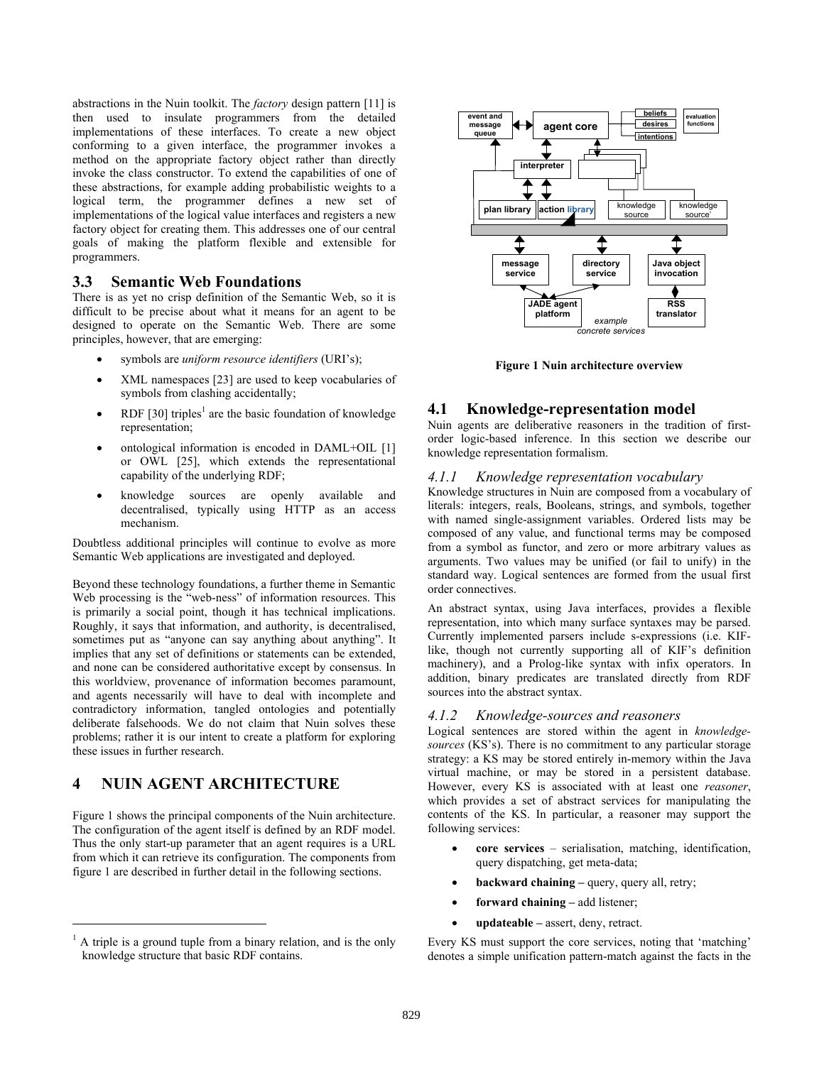abstractions in the Nuin toolkit. The *factory* design pattern [11] is then used to insulate programmers from the detailed implementations of these interfaces. To create a new object conforming to a given interface, the programmer invokes a method on the appropriate factory object rather than directly invoke the class constructor. To extend the capabilities of one of these abstractions, for example adding probabilistic weights to a logical term, the programmer defines a new set of implementations of the logical value interfaces and registers a new factory object for creating them. This addresses one of our central goals of making the platform flexible and extensible for programmers.

### **3.3 Semantic Web Foundations**

There is as yet no crisp definition of the Semantic Web, so it is difficult to be precise about what it means for an agent to be designed to operate on the Semantic Web. There are some principles, however, that are emerging:

- symbols are *uniform resource identifiers* (URI's);
- XML namespaces [23] are used to keep vocabularies of symbols from clashing accidentally;
- RDF [30] triples<sup>1</sup> are the basic foundation of knowledge representation;
- ontological information is encoded in DAML+OIL [1] or OWL [25], which extends the representational capability of the underlying RDF;
- knowledge sources are openly available and decentralised, typically using HTTP as an access mechanism.

Doubtless additional principles will continue to evolve as more Semantic Web applications are investigated and deployed.

Beyond these technology foundations, a further theme in Semantic Web processing is the "web-ness" of information resources. This is primarily a social point, though it has technical implications. Roughly, it says that information, and authority, is decentralised, sometimes put as "anyone can say anything about anything". It implies that any set of definitions or statements can be extended, and none can be considered authoritative except by consensus. In this worldview, provenance of information becomes paramount, and agents necessarily will have to deal with incomplete and contradictory information, tangled ontologies and potentially deliberate falsehoods. We do not claim that Nuin solves these problems; rather it is our intent to create a platform for exploring these issues in further research.

# **4 NUIN AGENT ARCHITECTURE**

 $\overline{a}$ 

Figure 1 shows the principal components of the Nuin architecture. The configuration of the agent itself is defined by an RDF model. Thus the only start-up parameter that an agent requires is a URL from which it can retrieve its configuration. The components from figure 1 are described in further detail in the following sections.



**Figure 1 Nuin architecture overview** 

# **4.1 Knowledge-representation model**

Nuin agents are deliberative reasoners in the tradition of firstorder logic-based inference. In this section we describe our knowledge representation formalism.

### *4.1.1 Knowledge representation vocabulary*

Knowledge structures in Nuin are composed from a vocabulary of literals: integers, reals, Booleans, strings, and symbols, together with named single-assignment variables. Ordered lists may be composed of any value, and functional terms may be composed from a symbol as functor, and zero or more arbitrary values as arguments. Two values may be unified (or fail to unify) in the standard way. Logical sentences are formed from the usual first order connectives.

An abstract syntax, using Java interfaces, provides a flexible representation, into which many surface syntaxes may be parsed. Currently implemented parsers include s-expressions (i.e. KIFlike, though not currently supporting all of KIF's definition machinery), and a Prolog-like syntax with infix operators. In addition, binary predicates are translated directly from RDF sources into the abstract syntax.

### *4.1.2 Knowledge-sources and reasoners*

Logical sentences are stored within the agent in *knowledgesources* (KS's). There is no commitment to any particular storage strategy: a KS may be stored entirely in-memory within the Java virtual machine, or may be stored in a persistent database. However, every KS is associated with at least one *reasoner*, which provides a set of abstract services for manipulating the contents of the KS. In particular, a reasoner may support the following services:

- **core services** serialisation, matching, identification, query dispatching, get meta-data;
- **backward chaining** query, query all, retry;
- **forward chaining –** add listener;
- **updateable –** assert, deny, retract.

Every KS must support the core services, noting that 'matching' denotes a simple unification pattern-match against the facts in the

<sup>1</sup> A triple is a ground tuple from a binary relation, and is the only knowledge structure that basic RDF contains.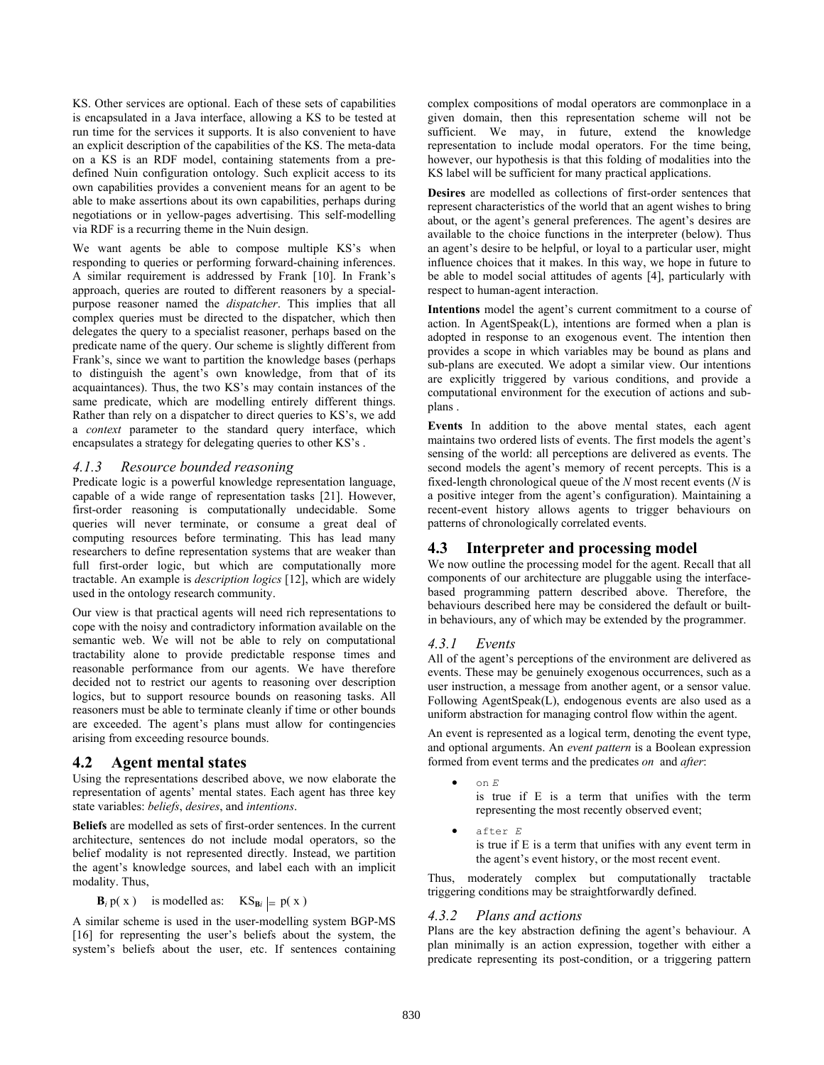KS. Other services are optional. Each of these sets of capabilities is encapsulated in a Java interface, allowing a KS to be tested at run time for the services it supports. It is also convenient to have an explicit description of the capabilities of the KS. The meta-data on a KS is an RDF model, containing statements from a predefined Nuin configuration ontology. Such explicit access to its own capabilities provides a convenient means for an agent to be able to make assertions about its own capabilities, perhaps during negotiations or in yellow-pages advertising. This self-modelling via RDF is a recurring theme in the Nuin design.

We want agents be able to compose multiple KS's when responding to queries or performing forward-chaining inferences. A similar requirement is addressed by Frank [10]. In Frank's approach, queries are routed to different reasoners by a specialpurpose reasoner named the *dispatcher*. This implies that all complex queries must be directed to the dispatcher, which then delegates the query to a specialist reasoner, perhaps based on the predicate name of the query. Our scheme is slightly different from Frank's, since we want to partition the knowledge bases (perhaps to distinguish the agent's own knowledge, from that of its acquaintances). Thus, the two KS's may contain instances of the same predicate, which are modelling entirely different things. Rather than rely on a dispatcher to direct queries to KS's, we add a *context* parameter to the standard query interface, which encapsulates a strategy for delegating queries to other KS's .

#### *4.1.3 Resource bounded reasoning*

Predicate logic is a powerful knowledge representation language, capable of a wide range of representation tasks [21]. However, first-order reasoning is computationally undecidable. Some queries will never terminate, or consume a great deal of computing resources before terminating. This has lead many researchers to define representation systems that are weaker than full first-order logic, but which are computationally more tractable. An example is *description logics* [12], which are widely used in the ontology research community.

Our view is that practical agents will need rich representations to cope with the noisy and contradictory information available on the semantic web. We will not be able to rely on computational tractability alone to provide predictable response times and reasonable performance from our agents. We have therefore decided not to restrict our agents to reasoning over description logics, but to support resource bounds on reasoning tasks. All reasoners must be able to terminate cleanly if time or other bounds are exceeded. The agent's plans must allow for contingencies arising from exceeding resource bounds.

### **4.2 Agent mental states**

Using the representations described above, we now elaborate the representation of agents' mental states. Each agent has three key state variables: *beliefs*, *desires*, and *intentions*.

**Beliefs** are modelled as sets of first-order sentences. In the current architecture, sentences do not include modal operators, so the belief modality is not represented directly. Instead, we partition the agent's knowledge sources, and label each with an implicit modality. Thus,

### $\mathbf{B}_i$  p(x) is modelled as:  $\mathbf{K}S_{\mathbf{B}_i} = p(x)$

A similar scheme is used in the user-modelling system BGP-MS [16] for representing the user's beliefs about the system, the system's beliefs about the user, etc. If sentences containing complex compositions of modal operators are commonplace in a given domain, then this representation scheme will not be sufficient. We may, in future, extend the knowledge representation to include modal operators. For the time being, however, our hypothesis is that this folding of modalities into the KS label will be sufficient for many practical applications.

**Desires** are modelled as collections of first-order sentences that represent characteristics of the world that an agent wishes to bring about, or the agent's general preferences. The agent's desires are available to the choice functions in the interpreter (below). Thus an agent's desire to be helpful, or loyal to a particular user, might influence choices that it makes. In this way, we hope in future to be able to model social attitudes of agents [4], particularly with respect to human-agent interaction.

**Intentions** model the agent's current commitment to a course of action. In AgentSpeak(L), intentions are formed when a plan is adopted in response to an exogenous event. The intention then provides a scope in which variables may be bound as plans and sub-plans are executed. We adopt a similar view. Our intentions are explicitly triggered by various conditions, and provide a computational environment for the execution of actions and subplans .

**Events** In addition to the above mental states, each agent maintains two ordered lists of events. The first models the agent's sensing of the world: all perceptions are delivered as events. The second models the agent's memory of recent percepts. This is a fixed-length chronological queue of the *N* most recent events (*N* is a positive integer from the agent's configuration). Maintaining a recent-event history allows agents to trigger behaviours on patterns of chronologically correlated events.

# **4.3 Interpreter and processing model**

We now outline the processing model for the agent. Recall that all components of our architecture are pluggable using the interfacebased programming pattern described above. Therefore, the behaviours described here may be considered the default or builtin behaviours, any of which may be extended by the programmer.

### *4.3.1 Events*

All of the agent's perceptions of the environment are delivered as events. These may be genuinely exogenous occurrences, such as a user instruction, a message from another agent, or a sensor value. Following AgentSpeak(L), endogenous events are also used as a uniform abstraction for managing control flow within the agent.

An event is represented as a logical term, denoting the event type, and optional arguments. An *event pattern* is a Boolean expression formed from event terms and the predicates *on* and *after*:

• on *E*

is true if E is a term that unifies with the term representing the most recently observed event;

• after *E* is true if E is a term that unifies with any event term in the agent's event history, or the most recent event.

Thus, moderately complex but computationally tractable triggering conditions may be straightforwardly defined.

### *4.3.2 Plans and actions*

Plans are the key abstraction defining the agent's behaviour. A plan minimally is an action expression, together with either a predicate representing its post-condition, or a triggering pattern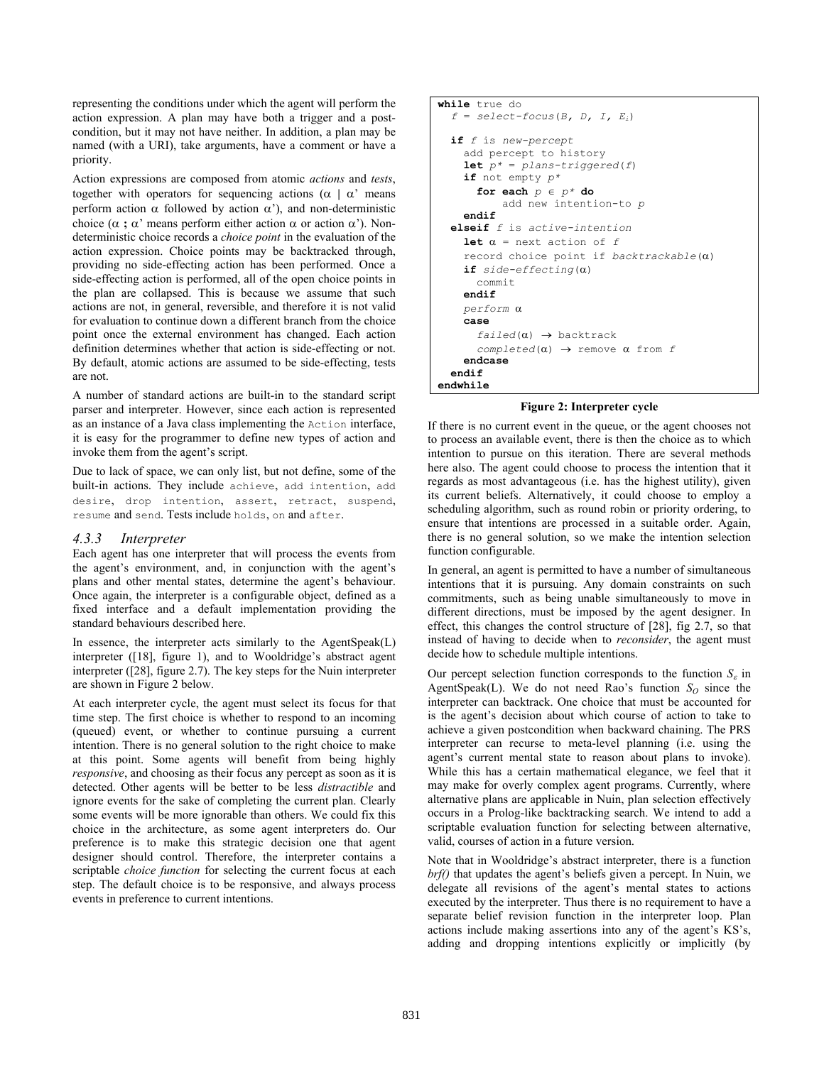representing the conditions under which the agent will perform the action expression. A plan may have both a trigger and a postcondition, but it may not have neither. In addition, a plan may be named (with a URI), take arguments, have a comment or have a priority.

Action expressions are composed from atomic *actions* and *tests*, together with operators for sequencing actions  $(\alpha \mid \alpha)$  means perform action α followed by action α'), and non-deterministic choice ( $\alpha$ ; α' means perform either action α or action α'). Nondeterministic choice records a *choice point* in the evaluation of the action expression. Choice points may be backtracked through, providing no side-effecting action has been performed. Once a side-effecting action is performed, all of the open choice points in the plan are collapsed. This is because we assume that such actions are not, in general, reversible, and therefore it is not valid for evaluation to continue down a different branch from the choice point once the external environment has changed. Each action definition determines whether that action is side-effecting or not. By default, atomic actions are assumed to be side-effecting, tests are not.

A number of standard actions are built-in to the standard script parser and interpreter. However, since each action is represented as an instance of a Java class implementing the Action interface, it is easy for the programmer to define new types of action and invoke them from the agent's script.

Due to lack of space, we can only list, but not define, some of the built-in actions. They include achieve, add intention, add desire, drop intention, assert, retract, suspend, resume and send. Tests include holds, on and after.

#### *4.3.3 Interpreter*

Each agent has one interpreter that will process the events from the agent's environment, and, in conjunction with the agent's plans and other mental states, determine the agent's behaviour. Once again, the interpreter is a configurable object, defined as a fixed interface and a default implementation providing the standard behaviours described here.

In essence, the interpreter acts similarly to the  $AgentSpeak(L)$ interpreter ([18], figure 1), and to Wooldridge's abstract agent interpreter ([28], figure 2.7). The key steps for the Nuin interpreter are shown in Figure 2 below.

At each interpreter cycle, the agent must select its focus for that time step. The first choice is whether to respond to an incoming (queued) event, or whether to continue pursuing a current intention. There is no general solution to the right choice to make at this point. Some agents will benefit from being highly *responsive*, and choosing as their focus any percept as soon as it is detected. Other agents will be better to be less *distractible* and ignore events for the sake of completing the current plan. Clearly some events will be more ignorable than others. We could fix this choice in the architecture, as some agent interpreters do. Our preference is to make this strategic decision one that agent designer should control. Therefore, the interpreter contains a scriptable *choice function* for selecting the current focus at each step. The default choice is to be responsive, and always process events in preference to current intentions.

```
while true do 
   f = select-focus(B, D, I, Ei)
   if f is new-percept
     add percept to history 
    let p^* = \text{planes-triggered}(f) if not empty p*
       for each p ∈ p* do
            add new intention-to p
     endif
   elseif f is active-intention
     let α = next action of f 
     record choice point if backtrackable(α)
     if side-effecting(α) 
       commit 
     endif
     perform α
     case 
       failed(\alpha) \rightarrow backtrack
        completed(α) → remove α from f
     endcase
   endif
endwhile
```
#### **Figure 2: Interpreter cycle**

If there is no current event in the queue, or the agent chooses not to process an available event, there is then the choice as to which intention to pursue on this iteration. There are several methods here also. The agent could choose to process the intention that it regards as most advantageous (i.e. has the highest utility), given its current beliefs. Alternatively, it could choose to employ a scheduling algorithm, such as round robin or priority ordering, to ensure that intentions are processed in a suitable order. Again, there is no general solution, so we make the intention selection function configurable.

In general, an agent is permitted to have a number of simultaneous intentions that it is pursuing. Any domain constraints on such commitments, such as being unable simultaneously to move in different directions, must be imposed by the agent designer. In effect, this changes the control structure of [28], fig 2.7, so that instead of having to decide when to *reconsider*, the agent must decide how to schedule multiple intentions.

Our percept selection function corresponds to the function  $S_{\varepsilon}$  in AgentSpeak(L). We do not need Rao's function  $S<sub>O</sub>$  since the interpreter can backtrack. One choice that must be accounted for is the agent's decision about which course of action to take to achieve a given postcondition when backward chaining. The PRS interpreter can recurse to meta-level planning (i.e. using the agent's current mental state to reason about plans to invoke). While this has a certain mathematical elegance, we feel that it may make for overly complex agent programs. Currently, where alternative plans are applicable in Nuin, plan selection effectively occurs in a Prolog-like backtracking search. We intend to add a scriptable evaluation function for selecting between alternative, valid, courses of action in a future version.

Note that in Wooldridge's abstract interpreter, there is a function *brf()* that updates the agent's beliefs given a percept. In Nuin, we delegate all revisions of the agent's mental states to actions executed by the interpreter. Thus there is no requirement to have a separate belief revision function in the interpreter loop. Plan actions include making assertions into any of the agent's KS's, adding and dropping intentions explicitly or implicitly (by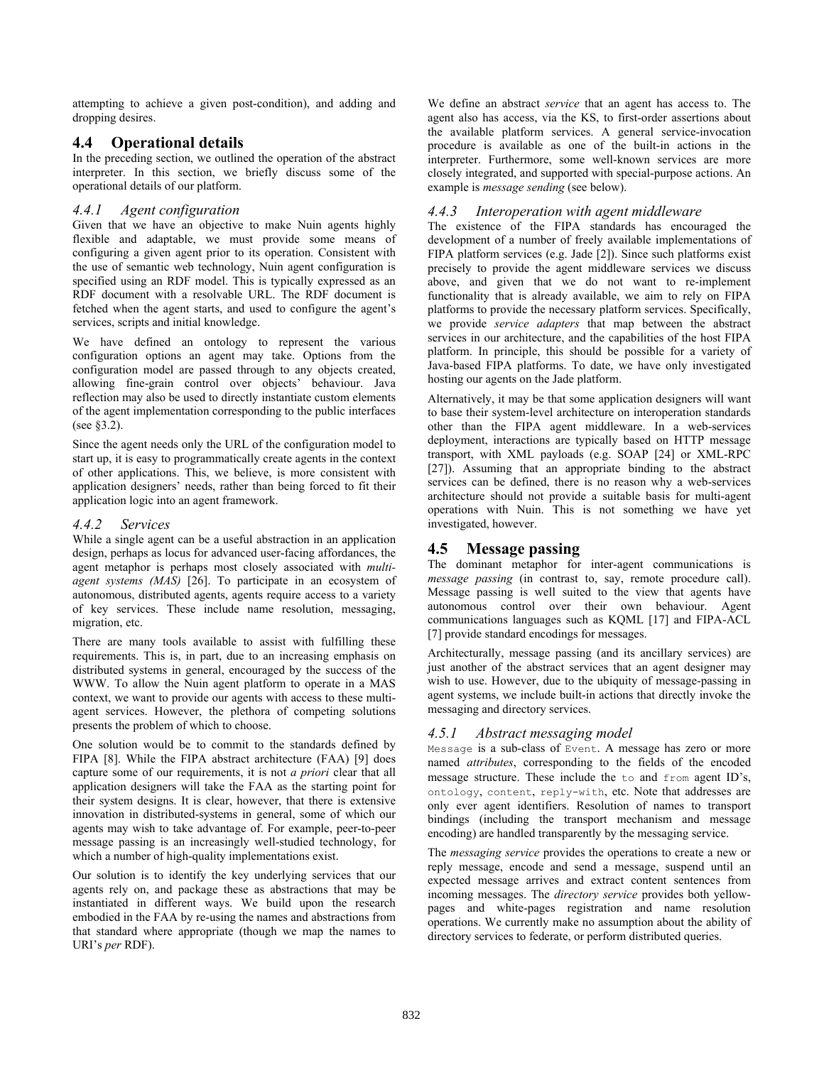attempting to achieve a given post-condition), and adding and dropping desires.

# **4.4 Operational details**

In the preceding section, we outlined the operation of the abstract interpreter. In this section, we briefly discuss some of the operational details of our platform.

### *4.4.1 Agent configuration*

Given that we have an objective to make Nuin agents highly flexible and adaptable, we must provide some means of configuring a given agent prior to its operation. Consistent with the use of semantic web technology, Nuin agent configuration is specified using an RDF model. This is typically expressed as an RDF document with a resolvable URL. The RDF document is fetched when the agent starts, and used to configure the agent's services, scripts and initial knowledge.

We have defined an ontology to represent the various configuration options an agent may take. Options from the configuration model are passed through to any objects created, allowing fine-grain control over objects' behaviour. Java reflection may also be used to directly instantiate custom elements of the agent implementation corresponding to the public interfaces (see §3.2).

Since the agent needs only the URL of the configuration model to start up, it is easy to programmatically create agents in the context of other applications. This, we believe, is more consistent with application designers' needs, rather than being forced to fit their application logic into an agent framework.

#### *4.4.2 Services*

While a single agent can be a useful abstraction in an application design, perhaps as locus for advanced user-facing affordances, the agent metaphor is perhaps most closely associated with *multiagent systems (MAS)* [26]. To participate in an ecosystem of autonomous, distributed agents, agents require access to a variety of key services. These include name resolution, messaging, migration, etc.

There are many tools available to assist with fulfilling these requirements. This is, in part, due to an increasing emphasis on distributed systems in general, encouraged by the success of the WWW. To allow the Nuin agent platform to operate in a MAS context, we want to provide our agents with access to these multiagent services. However, the plethora of competing solutions presents the problem of which to choose.

One solution would be to commit to the standards defined by FIPA [8]. While the FIPA abstract architecture (FAA) [9] does capture some of our requirements, it is not *a priori* clear that all application designers will take the FAA as the starting point for their system designs. It is clear, however, that there is extensive innovation in distributed-systems in general, some of which our agents may wish to take advantage of. For example, peer-to-peer message passing is an increasingly well-studied technology, for which a number of high-quality implementations exist.

Our solution is to identify the key underlying services that our agents rely on, and package these as abstractions that may be instantiated in different ways. We build upon the research embodied in the FAA by re-using the names and abstractions from that standard where appropriate (though we map the names to URI's *per* RDF).

We define an abstract *service* that an agent has access to. The agent also has access, via the KS, to first-order assertions about the available platform services. A general service-invocation procedure is available as one of the built-in actions in the interpreter. Furthermore, some well-known services are more closely integrated, and supported with special-purpose actions. An example is *message sending* (see below).

### *4.4.3 Interoperation with agent middleware*

The existence of the FIPA standards has encouraged the development of a number of freely available implementations of FIPA platform services (e.g. Jade [2]). Since such platforms exist precisely to provide the agent middleware services we discuss above, and given that we do not want to re-implement functionality that is already available, we aim to rely on FIPA platforms to provide the necessary platform services. Specifically, we provide *service adapters* that map between the abstract services in our architecture, and the capabilities of the host FIPA platform. In principle, this should be possible for a variety of Java-based FIPA platforms. To date, we have only investigated hosting our agents on the Jade platform.

Alternatively, it may be that some application designers will want to base their system-level architecture on interoperation standards other than the FIPA agent middleware. In a web-services deployment, interactions are typically based on HTTP message transport, with XML payloads (e.g. SOAP [24] or XML-RPC [27]). Assuming that an appropriate binding to the abstract services can be defined, there is no reason why a web-services architecture should not provide a suitable basis for multi-agent operations with Nuin. This is not something we have yet investigated, however.

# **4.5 Message passing**

The dominant metaphor for inter-agent communications is *message passing* (in contrast to, say, remote procedure call). Message passing is well suited to the view that agents have autonomous control over their own behaviour. Agent communications languages such as KQML [17] and FIPA-ACL [7] provide standard encodings for messages.

Architecturally, message passing (and its ancillary services) are just another of the abstract services that an agent designer may wish to use. However, due to the ubiquity of message-passing in agent systems, we include built-in actions that directly invoke the messaging and directory services.

### *4.5.1 Abstract messaging model*

Message is a sub-class of Event. A message has zero or more named *attributes*, corresponding to the fields of the encoded message structure. These include the to and from agent ID's, ontology, content, reply-with, etc. Note that addresses are only ever agent identifiers. Resolution of names to transport bindings (including the transport mechanism and message encoding) are handled transparently by the messaging service.

The *messaging service* provides the operations to create a new or reply message, encode and send a message, suspend until an expected message arrives and extract content sentences from incoming messages. The *directory service* provides both yellowpages and white-pages registration and name resolution operations. We currently make no assumption about the ability of directory services to federate, or perform distributed queries.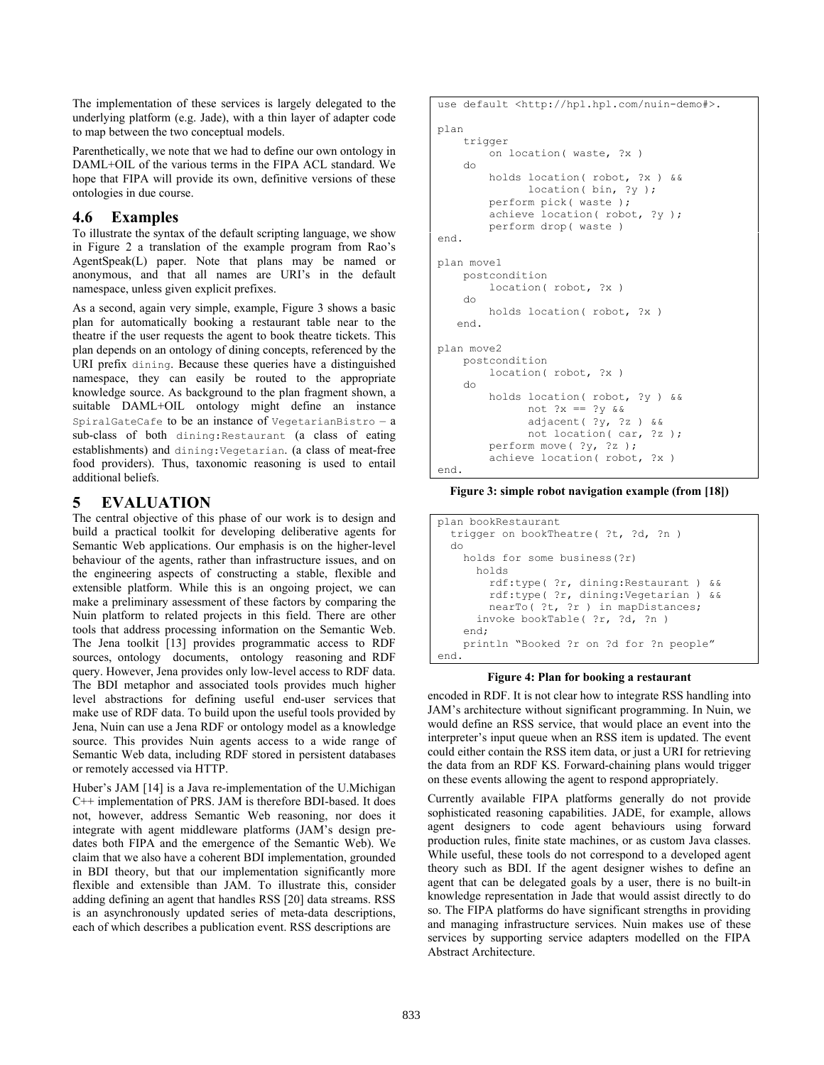The implementation of these services is largely delegated to the underlying platform (e.g. Jade), with a thin layer of adapter code to map between the two conceptual models.

Parenthetically, we note that we had to define our own ontology in DAML+OIL of the various terms in the FIPA ACL standard. We hope that FIPA will provide its own, definitive versions of these ontologies in due course.

# **4.6 Examples**

To illustrate the syntax of the default scripting language, we show in Figure 2 a translation of the example program from Rao's AgentSpeak(L) paper. Note that plans may be named or anonymous, and that all names are URI's in the default namespace, unless given explicit prefixes.

As a second, again very simple, example, Figure 3 shows a basic plan for automatically booking a restaurant table near to the theatre if the user requests the agent to book theatre tickets. This plan depends on an ontology of dining concepts, referenced by the URI prefix dining. Because these queries have a distinguished namespace, they can easily be routed to the appropriate knowledge source. As background to the plan fragment shown, a suitable DAML+OIL ontology might define an instance SpiralGateCafe to be an instance of VegetarianBistro – a sub-class of both dining:Restaurant (a class of eating establishments) and dining:Vegetarian. (a class of meat-free food providers). Thus, taxonomic reasoning is used to entail additional beliefs.

# **5 EVALUATION**

The central objective of this phase of our work is to design and build a practical toolkit for developing deliberative agents for Semantic Web applications. Our emphasis is on the higher-level behaviour of the agents, rather than infrastructure issues, and on the engineering aspects of constructing a stable, flexible and extensible platform. While this is an ongoing project, we can make a preliminary assessment of these factors by comparing the Nuin platform to related projects in this field. There are other tools that address processing information on the Semantic Web. The Jena toolkit [13] provides programmatic access to RDF sources, ontology documents, ontology reasoning and RDF query. However, Jena provides only low-level access to RDF data. The BDI metaphor and associated tools provides much higher level abstractions for defining useful end-user services that make use of RDF data. To build upon the useful tools provided by Jena, Nuin can use a Jena RDF or ontology model as a knowledge source. This provides Nuin agents access to a wide range of Semantic Web data, including RDF stored in persistent databases or remotely accessed via HTTP.

Huber's JAM [14] is a Java re-implementation of the U.Michigan C++ implementation of PRS. JAM is therefore BDI-based. It does not, however, address Semantic Web reasoning, nor does it integrate with agent middleware platforms (JAM's design predates both FIPA and the emergence of the Semantic Web). We claim that we also have a coherent BDI implementation, grounded in BDI theory, but that our implementation significantly more flexible and extensible than JAM. To illustrate this, consider adding defining an agent that handles RSS [20] data streams. RSS is an asynchronously updated series of meta-data descriptions, each of which describes a publication event. RSS descriptions are

```
use default <http://hpl.hpl.com/nuin-demo#>. 
plan 
     trigger 
          on location( waste, ?x ) 
     do 
          holds location( robot, ?x ) && 
               location( bin, ?y );
          perform pick( waste ); 
         achieve location( robot, ?y );
          perform drop( waste ) 
end. 
plan move1 
     postcondition 
          location( robot, ?x ) 
     do 
          holds location( robot, ?x ) 
    end. 
plan move2 
     postcondition 
          location( robot, ?x ) 
     do 
          holds location( robot, ?y ) && 
               not ?x == ?y & g adjacent( ?y, ?z ) && 
                not location( car, ?z ); 
          perform move( ?y, ?z ); 
          achieve location( robot, ?x ) 
end.
```
**Figure 3: simple robot navigation example (from [18])** 

```
plan bookRestaurant 
   trigger on bookTheatre( ?t, ?d, ?n ) 
   do 
     holds for some business(?r) 
       holds 
          rdf:type( ?r, dining:Restaurant ) && 
          rdf:type( ?r, dining:Vegetarian ) && 
          nearTo( ?t, ?r ) in mapDistances; 
       invoke bookTable( ?r, ?d, ?n ) 
     end; 
     println "Booked ?r on ?d for ?n people" 
end.
```
#### **Figure 4: Plan for booking a restaurant**

encoded in RDF. It is not clear how to integrate RSS handling into JAM's architecture without significant programming. In Nuin, we would define an RSS service, that would place an event into the interpreter's input queue when an RSS item is updated. The event could either contain the RSS item data, or just a URI for retrieving the data from an RDF KS. Forward-chaining plans would trigger on these events allowing the agent to respond appropriately.

Currently available FIPA platforms generally do not provide sophisticated reasoning capabilities. JADE, for example, allows agent designers to code agent behaviours using forward production rules, finite state machines, or as custom Java classes. While useful, these tools do not correspond to a developed agent theory such as BDI. If the agent designer wishes to define an agent that can be delegated goals by a user, there is no built-in knowledge representation in Jade that would assist directly to do so. The FIPA platforms do have significant strengths in providing and managing infrastructure services. Nuin makes use of these services by supporting service adapters modelled on the FIPA Abstract Architecture.